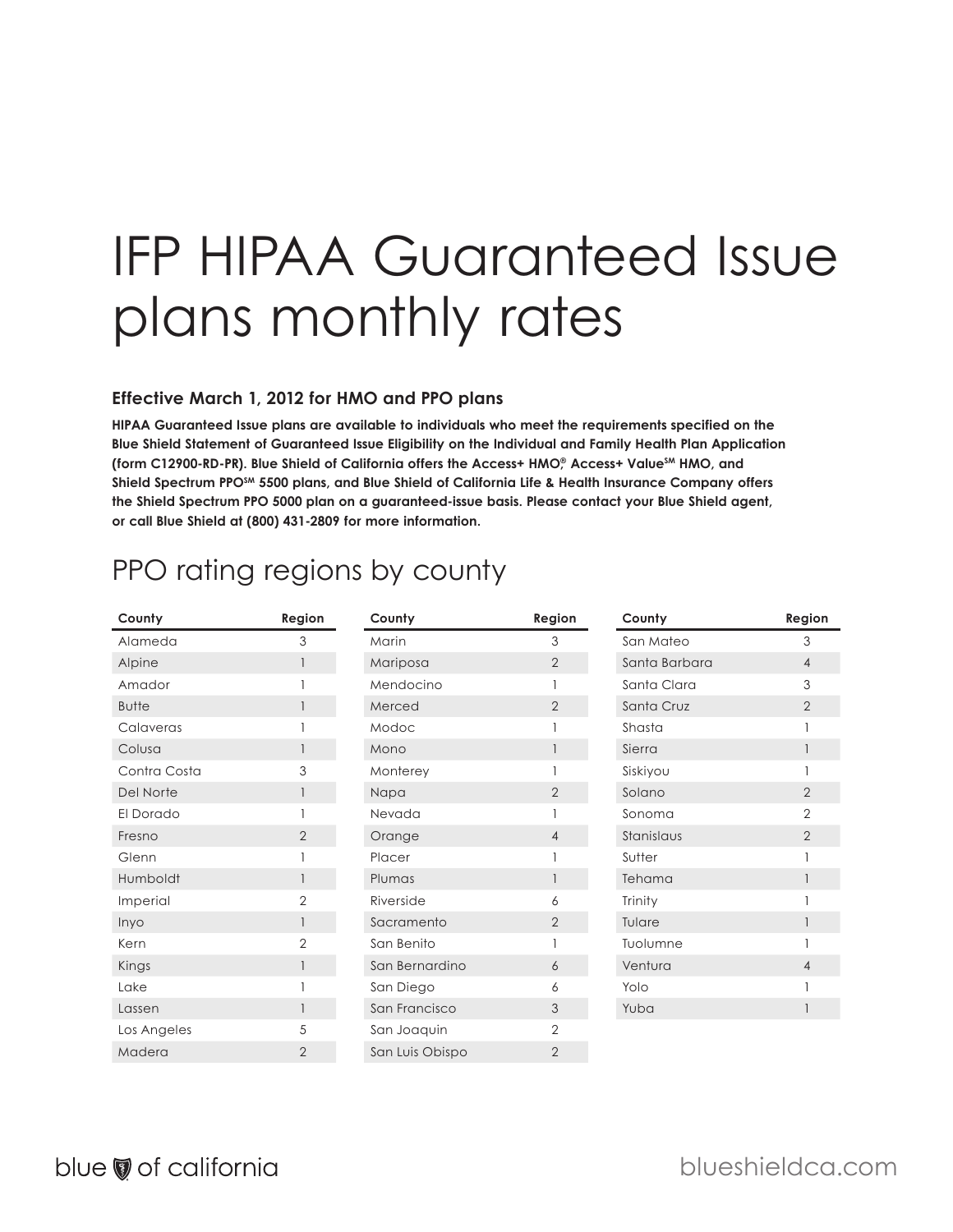# IFP HIPAA Guaranteed Issue plans monthly rates

#### **Effective March 1, 2012 for HMO and PPO plans**

**HIPAA Guaranteed Issue plans are available to individuals who meet the requirements specified on the Blue Shield Statement of Guaranteed Issue Eligibility on the Individual and Family Health Plan Application (form C12900-RD-PR). Blue Shield of California offers the Access+ HMO,® Access+ ValueSM HMO, and**  Shield Spectrum PPO<sup>SM</sup> 5500 plans, and Blue Shield of California Life & Health Insurance Company offers **the Shield Spectrum PPO 5000 plan on a guaranteed-issue basis. Please contact your Blue Shield agent, or call Blue Shield at (800) 431-2809 for more information.** 

### PPO rating regions by county

| County       | Region         | County          | Region         | County        | Region         |
|--------------|----------------|-----------------|----------------|---------------|----------------|
| Alameda      | 3              | Marin           | 3              | San Mateo     | 3              |
| Alpine       |                | Mariposa        | $\overline{2}$ | Santa Barbara | $\overline{4}$ |
| Amador       |                | Mendocino       |                | Santa Clara   | 3              |
| <b>Butte</b> |                | Merced          | $\overline{2}$ | Santa Cruz    | $\overline{2}$ |
| Calaveras    |                | Modoc           |                | Shasta        |                |
| Colusa       |                | Mono            |                | Sierra        |                |
| Contra Costa | 3              | Monterey        |                | Siskiyou      |                |
| Del Norte    |                | Napa            | $\overline{2}$ | Solano        | 2              |
| El Dorado    |                | Nevada          |                | Sonoma        | $\overline{2}$ |
| Fresno       | $\overline{2}$ | Orange          | 4              | Stanislaus    | 2              |
| Glenn        |                | Placer          |                | Sutter        |                |
| Humboldt     |                | Plumas          |                | Tehama        |                |
| Imperial     | 2              | Riverside       | 6              | Trinity       |                |
| Inyo         |                | Sacramento      | $\overline{2}$ | Tulare        |                |
| Kern         | $\overline{2}$ | San Benito      |                | Tuolumne      |                |
| Kings        |                | San Bernardino  | 6              | Ventura       | 4              |
| Lake         |                | San Diego       | 6              | Yolo          |                |
| Lassen       |                | San Francisco   | 3              | Yuba          |                |
| Los Angeles  | 5              | San Joaquin     | $\mathbf{2}$   |               |                |
| Madera       | $\overline{2}$ | San Luis Obispo | $\overline{2}$ |               |                |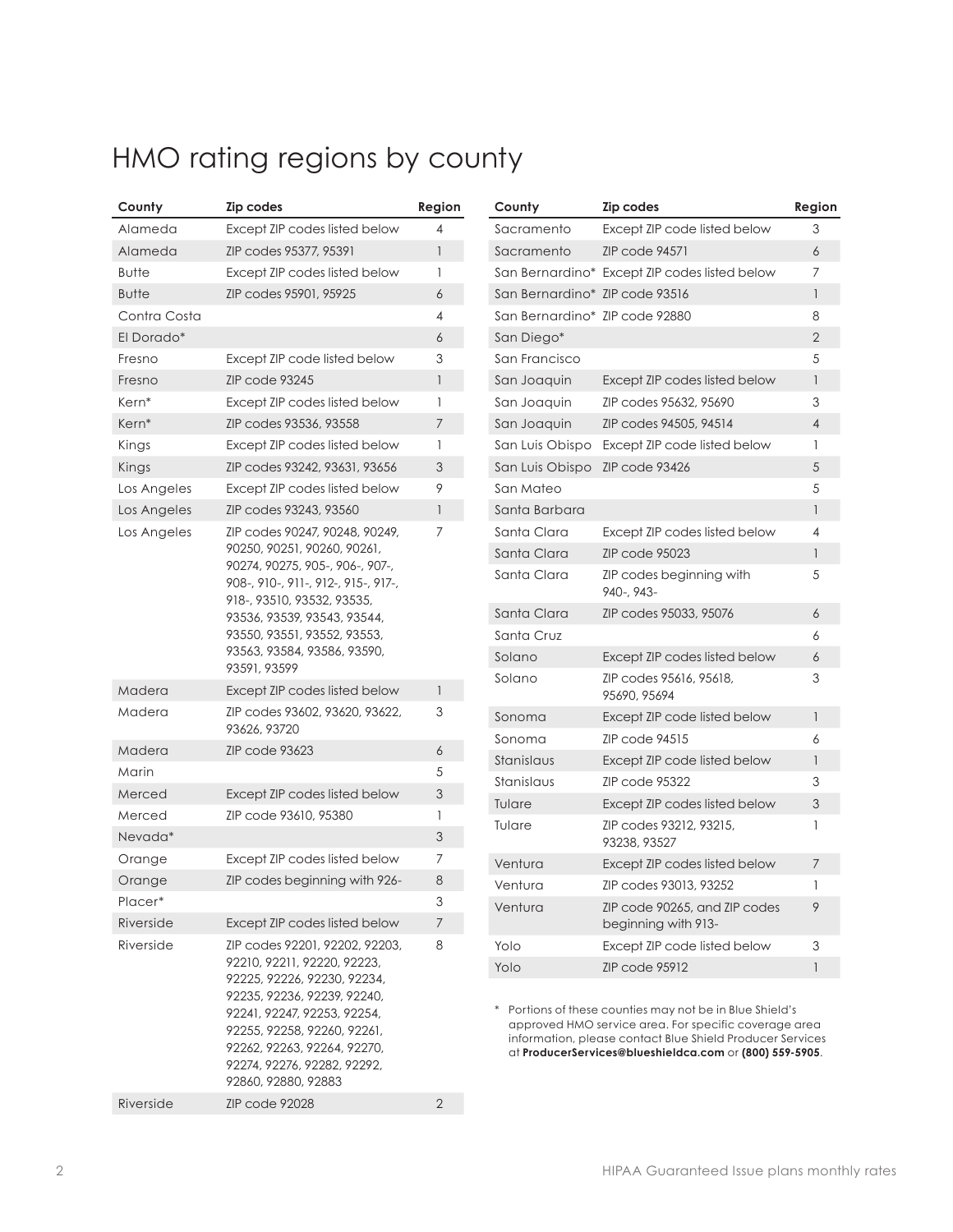# HMO rating regions by county

| County       | Zip codes                                                                                                                                                                                                                                                                          | Region         |
|--------------|------------------------------------------------------------------------------------------------------------------------------------------------------------------------------------------------------------------------------------------------------------------------------------|----------------|
| Alameda      | Except ZIP codes listed below                                                                                                                                                                                                                                                      | 4              |
| Alameda      | ZIP codes 95377, 95391                                                                                                                                                                                                                                                             | 1              |
| <b>Butte</b> | Except ZIP codes listed below                                                                                                                                                                                                                                                      | 1              |
| <b>Butte</b> | ZIP codes 95901, 95925                                                                                                                                                                                                                                                             | 6              |
| Contra Costa |                                                                                                                                                                                                                                                                                    | 4              |
| El Dorado*   |                                                                                                                                                                                                                                                                                    | 6              |
| Fresno       | Except ZIP code listed below                                                                                                                                                                                                                                                       | 3              |
| Fresno       | ZIP code 93245                                                                                                                                                                                                                                                                     | 1              |
| Kern*        | Except ZIP codes listed below                                                                                                                                                                                                                                                      | 1              |
| Kern*        | ZIP codes 93536, 93558                                                                                                                                                                                                                                                             | 7              |
| Kings        | Except ZIP codes listed below                                                                                                                                                                                                                                                      | 1              |
| Kings        | ZIP codes 93242, 93631, 93656                                                                                                                                                                                                                                                      | 3              |
| Los Angeles  | Except ZIP codes listed below                                                                                                                                                                                                                                                      | 9              |
| Los Angeles  | ZIP codes 93243, 93560                                                                                                                                                                                                                                                             | 1              |
| Los Angeles  | ZIP codes 90247, 90248, 90249,<br>90250, 90251, 90260, 90261,<br>90274, 90275, 905-, 906-, 907-,<br>908-, 910-, 911-, 912-, 915-, 917-,<br>918-, 93510, 93532, 93535,<br>93536, 93539, 93543, 93544,<br>93550, 93551, 93552, 93553,<br>93563, 93584, 93586, 93590,<br>93591, 93599 | 7              |
| Madera       | Except ZIP codes listed below                                                                                                                                                                                                                                                      | 1              |
| Madera       | ZIP codes 93602, 93620, 93622,<br>93626, 93720                                                                                                                                                                                                                                     | 3              |
| Madera       | <b>ZIP code 93623</b>                                                                                                                                                                                                                                                              | 6              |
| Marin        |                                                                                                                                                                                                                                                                                    | 5              |
| Merced       | Except ZIP codes listed below                                                                                                                                                                                                                                                      | 3              |
| Merced       | ZIP code 93610, 95380                                                                                                                                                                                                                                                              | 1              |
| Nevada*      |                                                                                                                                                                                                                                                                                    | 3              |
| Orange       | Except ZIP codes listed below                                                                                                                                                                                                                                                      | 7              |
| Orange       | ZIP codes beginning with 926-                                                                                                                                                                                                                                                      | 8              |
| Placer*      |                                                                                                                                                                                                                                                                                    | 3              |
| Riverside    | Except ZIP codes listed below                                                                                                                                                                                                                                                      | 7              |
| Riverside    | ZIP codes 92201, 92202, 92203,<br>92210, 92211, 92220, 92223,<br>92225, 92226, 92230, 92234,<br>92235, 92236, 92239, 92240,<br>92241, 92247, 92253, 92254,<br>92255, 92258, 92260, 92261,<br>92262, 92263, 92264, 92270,<br>92274, 92276, 92282, 92292,<br>92860, 92880, 92883     | 8              |
| Riverside    | <b>ZIP code 92028</b>                                                                                                                                                                                                                                                              | $\overline{2}$ |

| County                         | <b>Zip codes</b>                                     | Region                |
|--------------------------------|------------------------------------------------------|-----------------------|
| Sacramento                     | Except ZIP code listed below                         | 3                     |
| Sacramento                     | <b>ZIP code 94571</b>                                | 6                     |
|                                | San Bernardino* Except ZIP codes listed below        | 7                     |
| San Bernardino* ZIP code 93516 |                                                      | 1                     |
| San Bernardino* ZIP code 92880 |                                                      | 8                     |
| San Diego*                     |                                                      | $\overline{2}$        |
| San Francisco                  |                                                      | 5                     |
| San Joaquin                    | Except ZIP codes listed below                        | $\mathbf{1}$          |
| San Joaquin                    | ZIP codes 95632, 95690                               | 3                     |
| San Joaquin                    | ZIP codes 94505, 94514                               | $\overline{4}$        |
| San Luis Obispo                | Except ZIP code listed below                         | 1                     |
| San Luis Obispo                | <b>ZIP code 93426</b>                                | 5                     |
| San Mateo                      |                                                      | 5                     |
| Santa Barbara                  |                                                      | 1                     |
| Santa Clara                    | Except ZIP codes listed below                        | $\boldsymbol{\Delta}$ |
| Santa Clara                    | <b>ZIP code 95023</b>                                | 1                     |
| Santa Clara                    | ZIP codes beginning with<br>940-, 943-               | 5                     |
| Santa Clara                    | ZIP codes 95033, 95076                               | 6                     |
| Santa Cruz                     |                                                      | 6                     |
| Solano                         | Except ZIP codes listed below                        | 6                     |
| Solano                         | ZIP codes 95616, 95618,<br>95690, 95694              | 3                     |
| Sonoma                         | Except ZIP code listed below                         | $\mathbf{1}$          |
| Sonoma                         | ZIP code 94515                                       | 6                     |
| Stanislaus                     | Except ZIP code listed below                         | 1                     |
| Stanislaus                     | ZIP code 95322                                       | 3                     |
| Tulare                         | Except ZIP codes listed below                        | 3                     |
| Tulare                         | ZIP codes 93212, 93215,<br>93238, 93527              | 1                     |
| Ventura                        | Except ZIP codes listed below                        | 7                     |
| Ventura                        | ZIP codes 93013, 93252                               | 1                     |
| Ventura                        | ZIP code 90265, and ZIP codes<br>beginning with 913- | 9                     |
| Yolo                           | Except ZIP code listed below                         | 3                     |
| Yolo                           | <b>ZIP code 95912</b>                                | 1                     |

\* Portions of these counties may not be in Blue Shield's approved HMO service area. For specific coverage area information, please contact Blue Shield Producer Services at **ProducerServices@blueshieldca.com** or **(800) 559-5905**.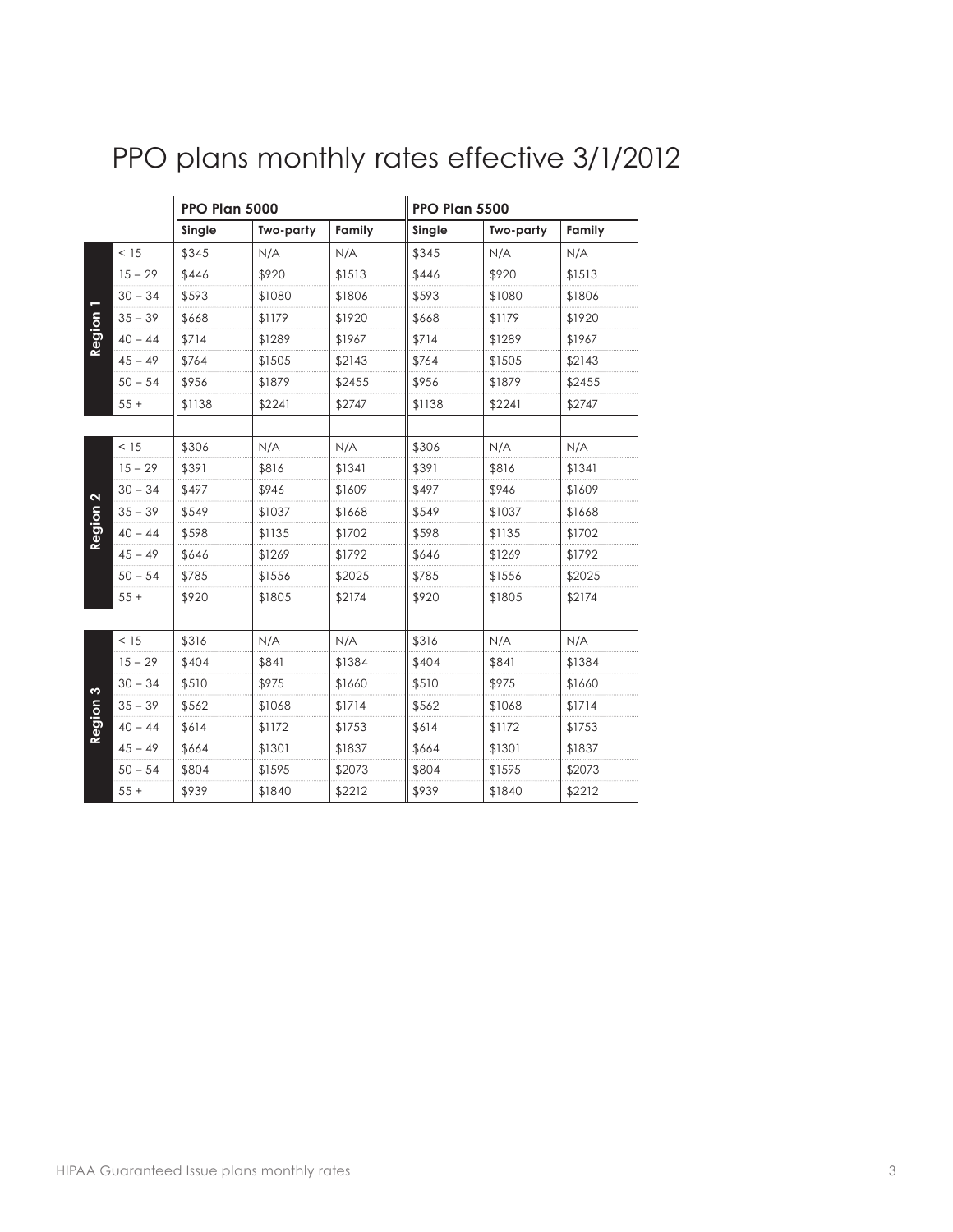|                          |           | PPO Plan 5000 |           | PPO Plan 5500 |        |           |        |
|--------------------------|-----------|---------------|-----------|---------------|--------|-----------|--------|
|                          |           | Single        | Two-party | Family        | Single | Two-party | Family |
|                          | < 15      | \$345         | N/A       | N/A           | \$345  | N/A       | N/A    |
|                          | $15 - 29$ | \$446         | \$920     | \$1513        | \$446  | \$920     | \$1513 |
|                          | $30 - 34$ | \$593         | \$1080    | \$1806        | \$593  | \$1080    | \$1806 |
|                          | $35 - 39$ | \$668         | \$1179    | \$1920        | \$668  | \$1179    | \$1920 |
| Region                   | $40 - 44$ | \$714         | \$1289    | \$1967        | \$714  | \$1289    | \$1967 |
|                          | $45 - 49$ | \$764         | \$1505    | \$2143        | \$764  | \$1505    | \$2143 |
|                          | $50 - 54$ | \$956         | \$1879    | \$2455        | \$956  | \$1879    | \$2455 |
|                          | $55+$     | \$1138        | \$2241    | \$2747        | \$1138 | \$2241    | \$2747 |
|                          |           |               |           |               |        |           |        |
|                          | < 15      | \$306         | N/A       | N/A           | \$306  | N/A       | N/A    |
|                          | $15 - 29$ | \$391         | \$816     | \$1341        | \$391  | \$816     | \$1341 |
| $\mathbf{\Omega}$        | $30 - 34$ | \$497         | \$946     | \$1609        | \$497  | \$946     | \$1609 |
|                          | $35 - 39$ | \$549         | \$1037    | \$1668        | \$549  | \$1037    | \$1668 |
| Region                   | $40 - 44$ | \$598         | \$1135    | \$1702        | \$598  | \$1135    | \$1702 |
|                          | $45 - 49$ | \$646         | \$1269    | \$1792        | \$646  | \$1269    | \$1792 |
|                          | $50 - 54$ | \$785         | \$1556    | \$2025        | \$785  | \$1556    | \$2025 |
|                          | $55+$     | \$920         | \$1805    | \$2174        | \$920  | \$1805    | \$2174 |
|                          |           |               |           |               |        |           |        |
|                          | < 15      | \$316         | N/A       | N/A           | \$316  | N/A       | N/A    |
|                          | $15 - 29$ | \$404         | \$841     | \$1384        | \$404  | \$841     | \$1384 |
| $\boldsymbol{\varsigma}$ | $30 - 34$ | \$510         | \$975     | \$1660        | \$510  | \$975     | \$1660 |
|                          | $35 - 39$ | \$562         | \$1068    | \$1714        | \$562  | \$1068    | \$1714 |
| Region                   | $40 - 44$ | \$614         | \$1172    | \$1753        | \$614  | \$1172    | \$1753 |
|                          | $45 - 49$ | \$664         | \$1301    | \$1837        | \$664  | \$1301    | \$1837 |
|                          | $50 - 54$ | \$804         | \$1595    | \$2073        | \$804  | \$1595    | \$2073 |
|                          | $55+$     | \$939         | \$1840    | \$2212        | \$939  | \$1840    | \$2212 |

# PPO plans monthly rates effective 3/1/2012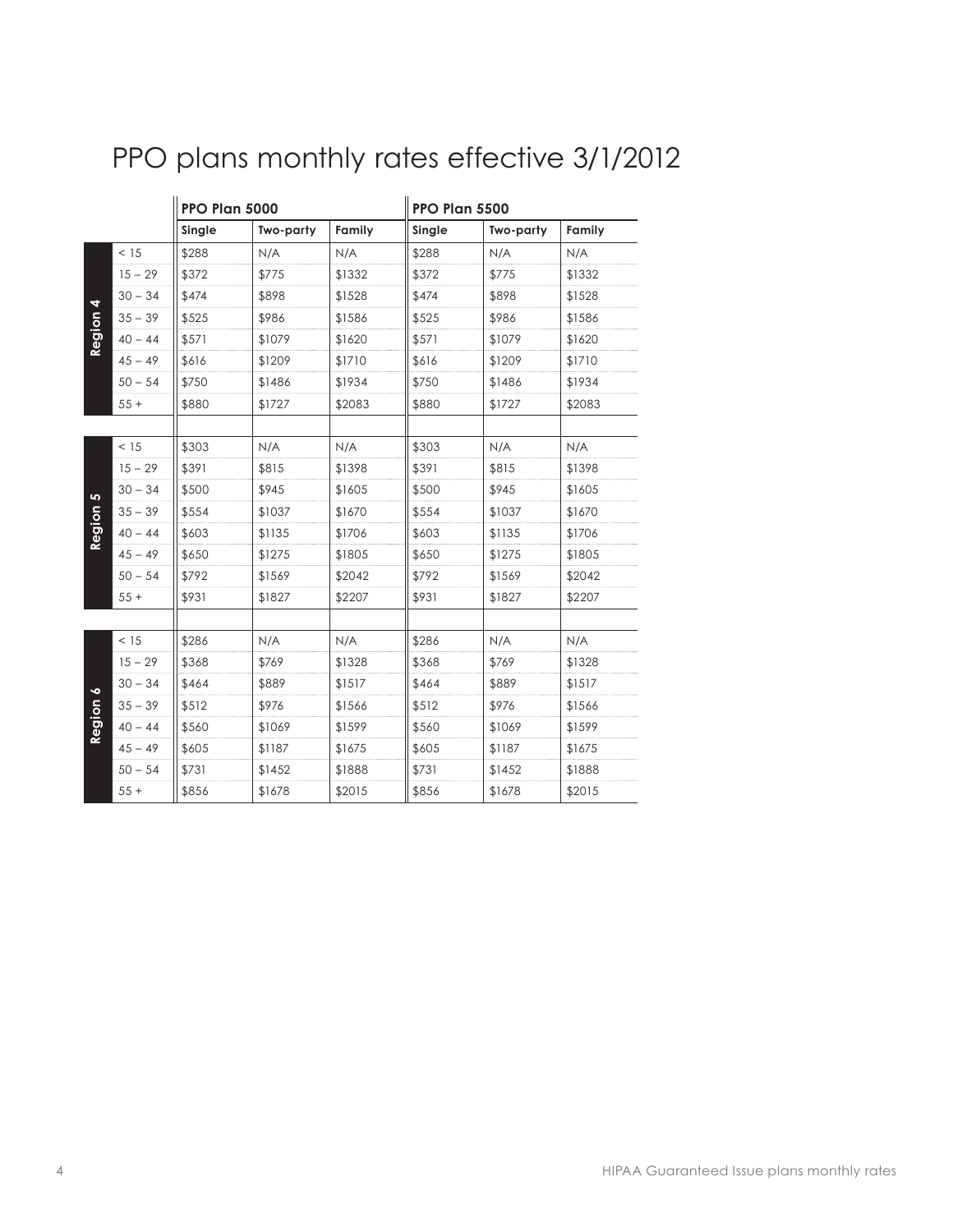|        |           | PPO Plan 5000 |           |        | PPO Plan 5500 |           |        |
|--------|-----------|---------------|-----------|--------|---------------|-----------|--------|
|        |           | Single        | Two-party | Family | Single        | Two-party | Family |
|        | < 15      | \$288         | N/A       | N/A    | \$288         | N/A       | N/A    |
|        | $15 - 29$ | \$372         | \$775     | \$1332 | \$372         | \$775     | \$1332 |
| 4      | $30 - 34$ | \$474         | \$898     | \$1528 | \$474         | \$898     | \$1528 |
|        | $35 - 39$ | \$525         | \$986     | \$1586 | \$525         | \$986     | \$1586 |
| Region | $40 - 44$ | \$571         | \$1079    | \$1620 | \$571         | \$1079    | \$1620 |
|        | $45 - 49$ | \$616         | \$1209    | \$1710 | \$616         | \$1209    | \$1710 |
|        | $50 - 54$ | \$750         | \$1486    | \$1934 | \$750         | \$1486    | \$1934 |
|        | $55+$     | \$880         | \$1727    | \$2083 | \$880         | \$1727    | \$2083 |
|        |           |               |           |        |               |           |        |
|        | < 15      | \$303         | N/A       | N/A    | \$303         | N/A       | N/A    |
|        | $15 - 29$ | \$391         | \$815     | \$1398 | \$391         | \$815     | \$1398 |
| 5      | $30 - 34$ | \$500         | \$945     | \$1605 | \$500         | \$945     | \$1605 |
|        | $35 - 39$ | \$554         | \$1037    | \$1670 | \$554         | \$1037    | \$1670 |
| Region | $40 - 44$ | \$603         | \$1135    | \$1706 | \$603         | \$1135    | \$1706 |
|        | $45 - 49$ | \$650         | \$1275    | \$1805 | \$650         | \$1275    | \$1805 |
|        | $50 - 54$ | \$792         | \$1569    | \$2042 | \$792         | \$1569    | \$2042 |
|        | $55+$     | \$931         | \$1827    | \$2207 | \$931         | \$1827    | \$2207 |
|        |           |               |           |        |               |           |        |
|        | < 15      | \$286         | N/A       | N/A    | \$286         | N/A       | N/A    |
|        | $15 - 29$ | \$368         | \$769     | \$1328 | \$368         | \$769     | \$1328 |
| ⋄      | $30 - 34$ | \$464         | \$889     | \$1517 | \$464         | \$889     | \$1517 |
|        | $35 - 39$ | \$512         | \$976     | \$1566 | \$512         | \$976     | \$1566 |
| Region | $40 - 44$ | \$560         | \$1069    | \$1599 | \$560         | \$1069    | \$1599 |
|        | $45 - 49$ | \$605         | \$1187    | \$1675 | \$605         | \$1187    | \$1675 |
|        | $50 - 54$ | \$731         | \$1452    | \$1888 | \$731         | \$1452    | \$1888 |
|        | $55+$     | \$856         | \$1678    | \$2015 | \$856         | \$1678    | \$2015 |

# PPO plans monthly rates effective 3/1/2012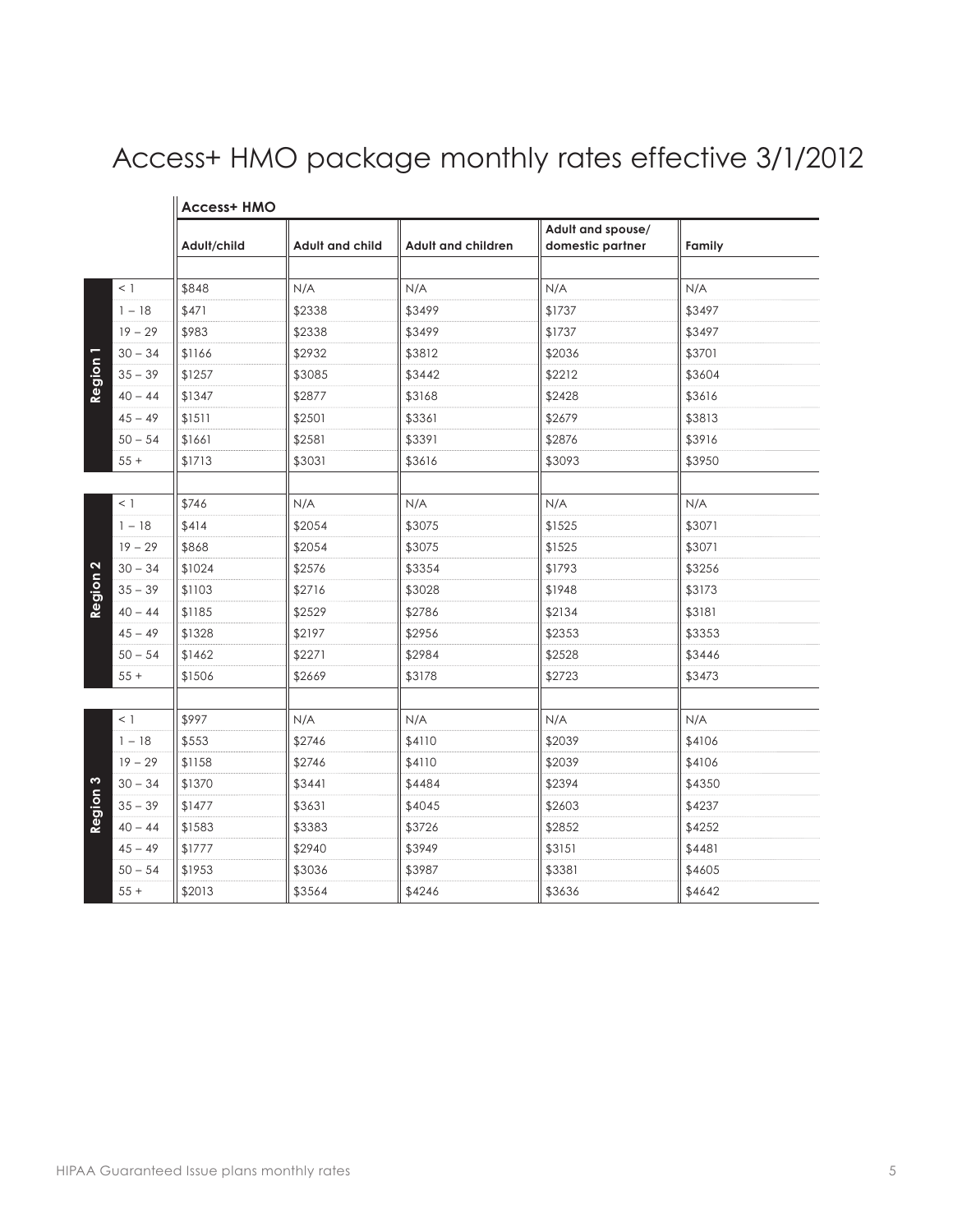# Access+ HMO package monthly rates effective 3/1/2012

|                   |           | טוווו ינכסטא |                 |                    | Adult and spouse/ |        |
|-------------------|-----------|--------------|-----------------|--------------------|-------------------|--------|
|                   |           | Adult/child  | Adult and child | Adult and children | domestic partner  | Family |
|                   |           |              |                 |                    |                   |        |
|                   | $<$ 1     | \$848        | N/A             | N/A                | N/A               | N/A    |
|                   | $1 - 18$  | \$471        | \$2338          | \$3499             | \$1737            | \$3497 |
|                   | $19 - 29$ | \$983        | \$2338          | \$3499             | \$1737            | \$3497 |
|                   | $30 - 34$ | \$1166       | \$2932          | \$3812             | \$2036            | \$3701 |
| Region            | $35 - 39$ | \$1257       | \$3085          | \$3442             | \$2212            | \$3604 |
|                   | $40 - 44$ | \$1347       | \$2877          | \$3168             | \$2428            | \$3616 |
|                   | $45 - 49$ | \$1511       | \$2501          | \$3361             | \$2679            | \$3813 |
|                   | $50 - 54$ | \$1661       | \$2581          | \$3391             | \$2876            | \$3916 |
|                   | $55+$     | \$1713       | \$3031          | \$3616             | \$3093            | \$3950 |
|                   |           |              |                 |                    |                   |        |
|                   | $<$ 1     | \$746        | N/A             | N/A                | N/A               | N/A    |
|                   | $1 - 18$  | \$414        | \$2054          | \$3075             | \$1525            | \$3071 |
|                   | $19 - 29$ | \$868        | \$2054          | \$3075             | \$1525            | \$3071 |
| $\mathbf{\Omega}$ | $30 - 34$ | \$1024       | \$2576          | \$3354             | \$1793            | \$3256 |
| Region            | $35 - 39$ | \$1103       | \$2716          | \$3028             | \$1948            | \$3173 |
|                   | $40 - 44$ | \$1185       | \$2529          | \$2786             | \$2134            | \$3181 |
|                   | $45 - 49$ | \$1328       | \$2197          | \$2956             | \$2353            | \$3353 |
|                   | $50 - 54$ | \$1462       | \$2271          | \$2984             | \$2528            | \$3446 |
|                   | $55 +$    | \$1506       | \$2669          | \$3178             | \$2723            | \$3473 |
|                   |           |              |                 |                    |                   |        |
|                   | $<$ 1     | \$997        | N/A             | N/A                | N/A               | N/A    |
|                   | $1 - 18$  | \$553        | \$2746          | \$4110             | \$2039            | \$4106 |
|                   | $19 - 29$ | \$1158       | \$2746          | \$4110             | \$2039            | \$4106 |
| S                 | $30 - 34$ | \$1370       | \$3441          | \$4484             | \$2394            | \$4350 |
| Region            | $35 - 39$ | \$1477       | \$3631          | \$4045             | \$2603            | \$4237 |
|                   | $40 - 44$ | \$1583       | \$3383          | \$3726             | \$2852            | \$4252 |
|                   | $45 - 49$ | \$1777       | \$2940          | \$3949             | \$3151            | \$4481 |
|                   | $50 - 54$ | \$1953       | \$3036          | \$3987             | \$3381            | \$4605 |
|                   | $55+$     | \$2013       | \$3564          | \$4246             | \$3636            | \$4642 |

#### **Access+ HMO**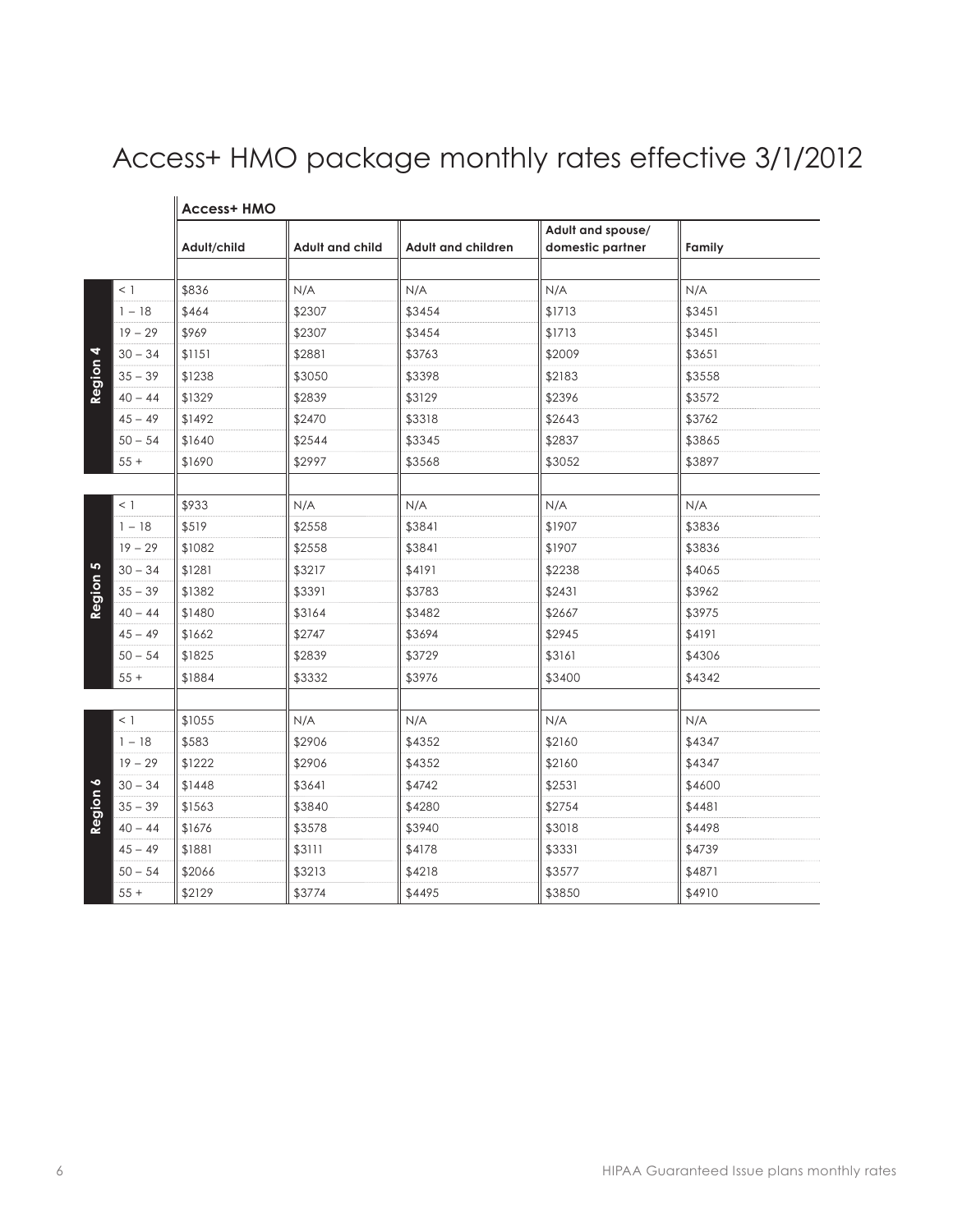# Access+ HMO package monthly rates effective 3/1/2012

|           |           | Adult/child | Adult and child | Adult and children | Adult and spouse/<br>domestic partner | Family |
|-----------|-----------|-------------|-----------------|--------------------|---------------------------------------|--------|
|           | $<$ 1     | \$836       | N/A             | N/A                | N/A                                   | N/A    |
|           | $1 - 18$  | \$464       | \$2307          | \$3454             | \$1713                                | \$3451 |
|           | $19 - 29$ | \$969       | \$2307          | \$3454             | \$1713                                | \$3451 |
| 4         | $30 - 34$ | \$1151      | \$2881          | \$3763             | \$2009                                | \$3651 |
| Region    | $35 - 39$ | \$1238      | \$3050          | \$3398             | \$2183                                | \$3558 |
|           | $40 - 44$ | \$1329      | \$2839          | \$3129             | \$2396                                | \$3572 |
|           | $45 - 49$ | \$1492      | \$2470          | \$3318             | \$2643                                | \$3762 |
|           | $50 - 54$ | \$1640      | \$2544          | \$3345             | \$2837                                | \$3865 |
|           | $55 +$    | \$1690      | \$2997          | \$3568             | \$3052                                | \$3897 |
|           | $<$ 1     | \$933       | N/A             | N/A                | N/A                                   | N/A    |
|           | $1 - 18$  | \$519       | \$2558          | \$3841             | \$1907                                | \$3836 |
|           | $19 - 29$ | \$1082      | \$2558          | \$3841             | \$1907                                | \$3836 |
| 5         | $30 - 34$ | \$1281      | \$3217          | \$4191             | \$2238                                | \$4065 |
| Region    | $35 - 39$ | \$1382      | \$3391          | \$3783             | \$2431                                | \$3962 |
|           | $40 - 44$ | \$1480      | \$3164          | \$3482             | \$2667                                | \$3975 |
|           | $45 - 49$ | \$1662      | \$2747          | \$3694             | \$2945                                | \$4191 |
|           | $50 - 54$ | \$1825      | \$2839          | \$3729             | \$3161                                | \$4306 |
|           | $55 +$    | \$1884      | \$3332          | \$3976             | \$3400                                | \$4342 |
|           |           |             |                 |                    |                                       |        |
|           | $<$ 1     | \$1055      | N/A             | N/A                | N/A                                   | N/A    |
|           | $1 - 18$  | \$583       | \$2906          | \$4352             | \$2160                                | \$4347 |
|           | $19 - 29$ | \$1222      | \$2906          | \$4352             | \$2160                                | \$4347 |
| $\bullet$ | $30 - 34$ | \$1448      | \$3641          | \$4742             | \$2531                                | \$4600 |
| Region    | $35 - 39$ | \$1563      | \$3840          | \$4280             | \$2754                                | \$4481 |
|           | $40 - 44$ | \$1676      | \$3578          | \$3940             | \$3018                                | \$4498 |
|           | $45 - 49$ | \$1881      | \$3111          | \$4178             | \$3331                                | \$4739 |
|           | $50 - 54$ | \$2066      | \$3213          | \$4218             | \$3577                                | \$4871 |
|           | $55 +$    | \$2129      | \$3774          | \$4495             | \$3850                                | \$4910 |

#### **Access+ HMO**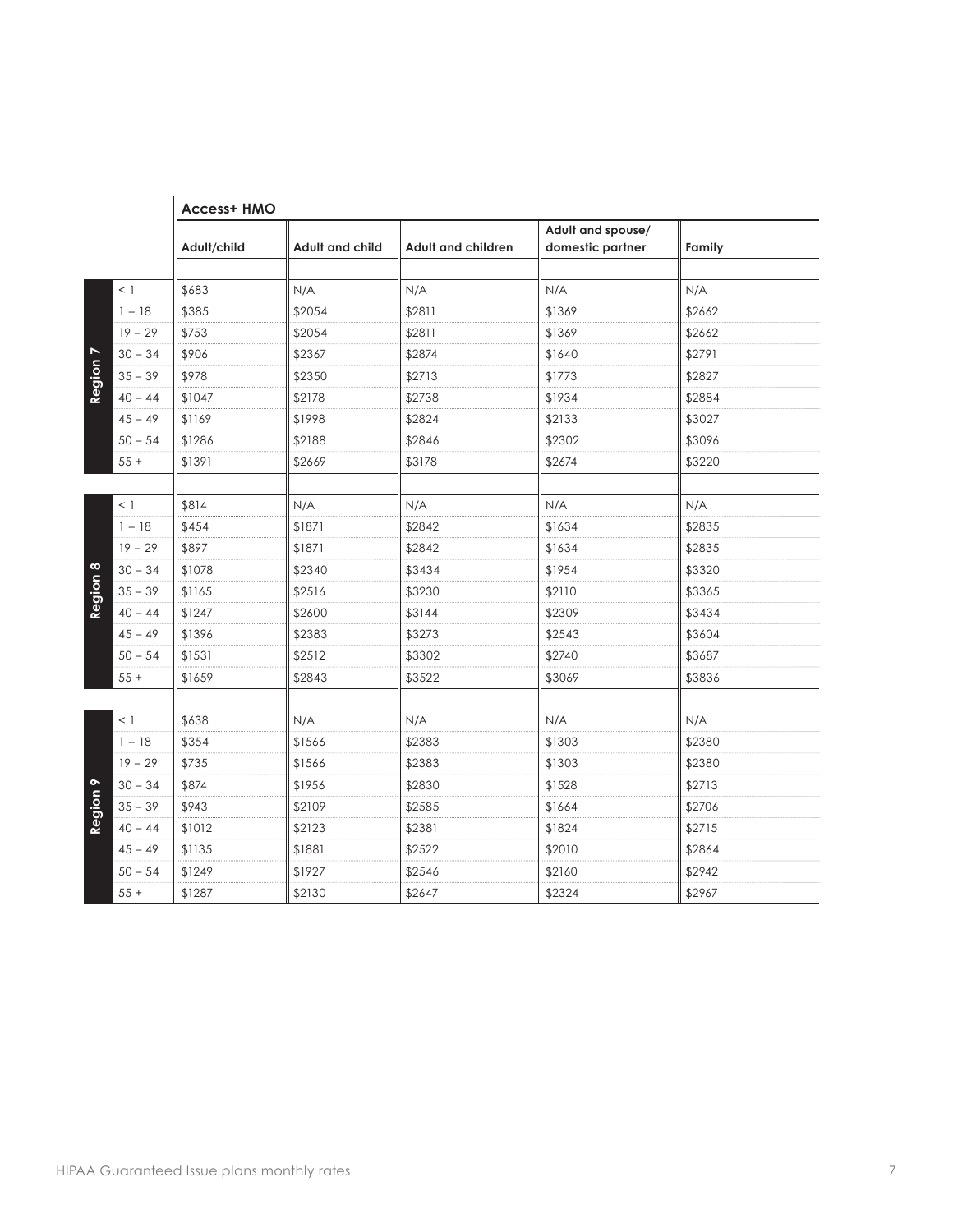|                |           | <b>Access+ HMO</b> |                        |                           |                                       |        |
|----------------|-----------|--------------------|------------------------|---------------------------|---------------------------------------|--------|
|                |           | Adult/child        | <b>Adult and child</b> | <b>Adult and children</b> | Adult and spouse/<br>domestic partner | Family |
|                | $<$ 1     | \$683              | N/A                    | N/A                       | N/A                                   | N/A    |
|                | $1 - 18$  | \$385              | \$2054                 | \$2811                    | \$1369                                | \$2662 |
|                | $19 - 29$ | \$753              | \$2054                 | \$2811                    | \$1369                                | \$2662 |
| $\overline{ }$ | $30 - 34$ | \$906              | \$2367                 | \$2874                    | \$1640                                | \$2791 |
|                | $35 - 39$ | \$978              | \$2350                 | \$2713                    | \$1773                                | \$2827 |
| Region         | $40 - 44$ | \$1047             | \$2178                 | \$2738                    | \$1934                                | \$2884 |
|                | $45 - 49$ | \$1169             | \$1998                 | \$2824                    | \$2133                                | \$3027 |
|                | $50 - 54$ | \$1286             | \$2188                 | \$2846                    | \$2302                                | \$3096 |
|                | $55+$     | \$1391             | \$2669                 | \$3178                    | \$2674                                | \$3220 |
|                |           |                    |                        |                           |                                       |        |
|                | $<$ 1     | \$814              | N/A                    | N/A                       | N/A                                   | N/A    |
|                | $1 - 18$  | \$454              | \$1871                 | \$2842                    | \$1634                                | \$2835 |
|                | $19 - 29$ | \$897              | \$1871                 | \$2842                    | \$1634                                | \$2835 |
| $\infty$       | $30 - 34$ | \$1078             | \$2340                 | \$3434                    | \$1954                                | \$3320 |
| Region         | $35 - 39$ | \$1165             | \$2516                 | \$3230                    | \$2110                                | \$3365 |
|                | $40 - 44$ | \$1247             | \$2600                 | \$3144                    | \$2309                                | \$3434 |
|                | $45 - 49$ | \$1396             | \$2383                 | \$3273                    | \$2543                                | \$3604 |
|                | $50 - 54$ | \$1531             | \$2512                 | \$3302                    | \$2740                                | \$3687 |
|                | $55+$     | \$1659             | \$2843                 | \$3522                    | \$3069                                | \$3836 |
|                |           |                    |                        |                           |                                       |        |
|                | $<$ 1     | \$638              | N/A                    | N/A                       | N/A                                   | N/A    |
|                | $1 - 18$  | \$354              | \$1566                 | \$2383                    | \$1303                                | \$2380 |
|                | $19 - 29$ | \$735              | \$1566                 | \$2383                    | \$1303                                | \$2380 |
| $\bullet$      | $30 - 34$ | \$874              | \$1956                 | \$2830                    | \$1528                                | \$2713 |
| Region         | $35 - 39$ | \$943              | \$2109                 | \$2585                    | \$1664                                | \$2706 |
|                | $40 - 44$ | \$1012             | \$2123                 | \$2381                    | \$1824                                | \$2715 |
|                | $45 - 49$ | \$1135             | \$1881                 | \$2522                    | \$2010                                | \$2864 |
|                | $50 - 54$ | \$1249             | \$1927                 | \$2546                    | \$2160                                | \$2942 |
|                | $55+$     | \$1287             | \$2130                 | \$2647                    | \$2324                                | \$2967 |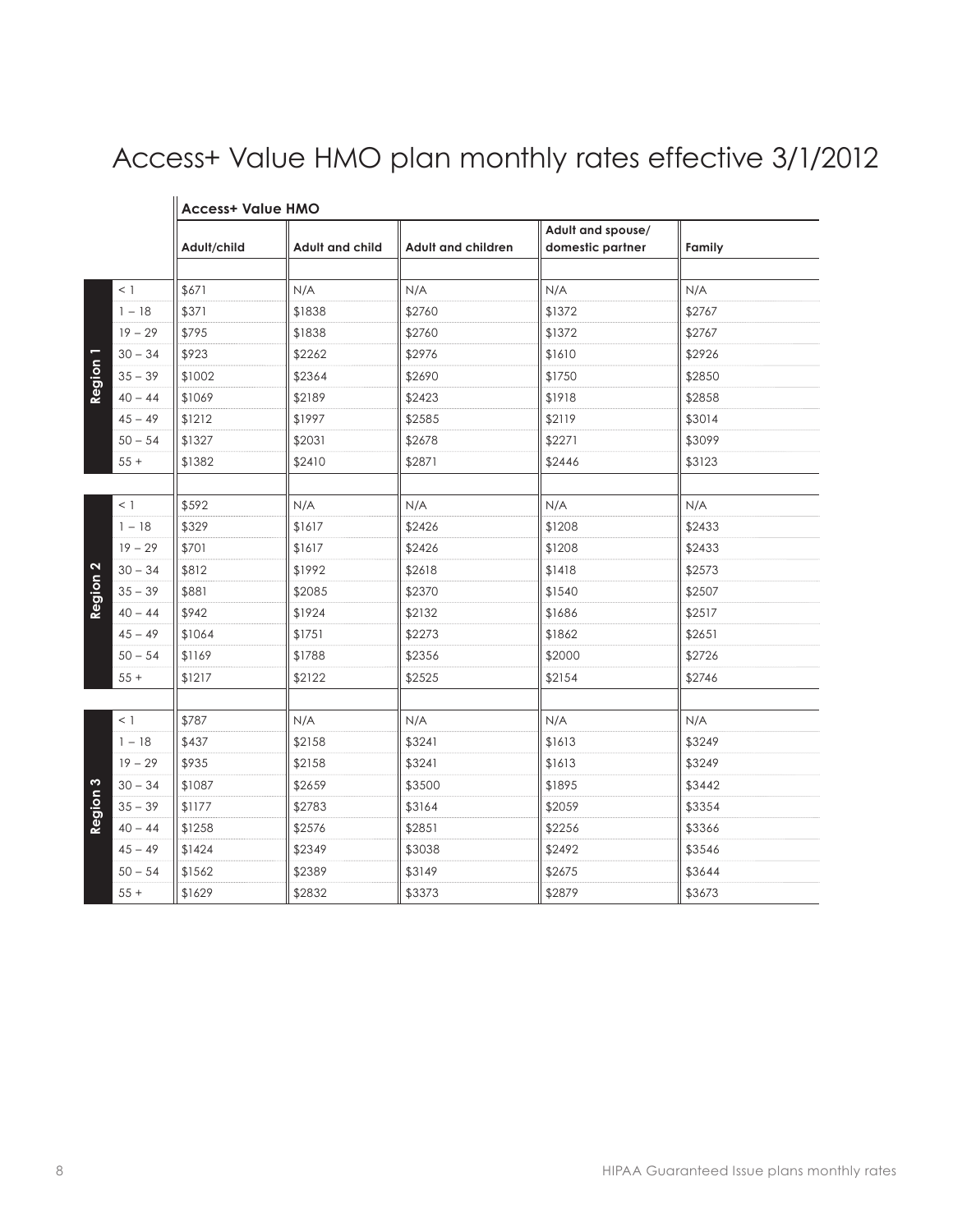# Access+ Value HMO plan monthly rates effective 3/1/2012

|                   |           | Adult/child | <b>Adult and child</b> | <b>Adult and children</b> | Adult and spouse/<br>domestic partner |        |
|-------------------|-----------|-------------|------------------------|---------------------------|---------------------------------------|--------|
|                   |           |             |                        |                           |                                       | Family |
|                   | $<$ 1     | \$671       | N/A                    | N/A                       | N/A                                   | N/A    |
|                   | $1 - 18$  | \$371       | \$1838                 | \$2760                    | \$1372                                | \$2767 |
|                   | $19 - 29$ | \$795       | \$1838                 | \$2760                    | \$1372                                | \$2767 |
|                   | $30 - 34$ | \$923       | \$2262                 | \$2976                    | \$1610                                | \$2926 |
| Region            | $35 - 39$ | \$1002      | \$2364                 | \$2690                    | \$1750                                | \$2850 |
|                   | $40 - 44$ | \$1069      | \$2189                 | \$2423                    | \$1918                                | \$2858 |
|                   | $45 - 49$ | \$1212      | \$1997                 | \$2585                    | \$2119                                | \$3014 |
|                   | $50 - 54$ | \$1327      | \$2031                 | \$2678                    | \$2271                                | \$3099 |
|                   | $55 +$    | \$1382      | \$2410                 | \$2871                    | \$2446                                | \$3123 |
|                   |           |             |                        |                           |                                       |        |
|                   | $<$ 1     | \$592       | N/A                    | N/A                       | N/A                                   | N/A    |
|                   | $1 - 18$  | \$329       | \$1617                 | \$2426                    | \$1208                                | \$2433 |
|                   | $19 - 29$ | \$701       | \$1617                 | \$2426                    | \$1208                                | \$2433 |
| $\mathbf{\Omega}$ | $30 - 34$ | \$812       | \$1992                 | \$2618                    | \$1418                                | \$2573 |
| Region            | $35 - 39$ | \$881       | \$2085                 | \$2370                    | \$1540                                | \$2507 |
|                   | $40 - 44$ | \$942       | \$1924                 | \$2132                    | \$1686                                | \$2517 |
|                   | $45 - 49$ | \$1064      | \$1751                 | \$2273                    | \$1862                                | \$2651 |
|                   | $50 - 54$ | \$1169      | \$1788                 | \$2356                    | \$2000                                | \$2726 |
|                   | $55+$     | \$1217      | \$2122                 | \$2525                    | \$2154                                | \$2746 |
|                   |           |             |                        |                           |                                       |        |
|                   | $<$ 1     | \$787       | N/A                    | N/A                       | N/A                                   | N/A    |
|                   | $1 - 18$  | \$437       | \$2158                 | \$3241                    | \$1613                                | \$3249 |
|                   | $19 - 29$ | \$935       | \$2158                 | \$3241                    | \$1613                                | \$3249 |
| S                 | $30 - 34$ | \$1087      | \$2659                 | \$3500                    | \$1895                                | \$3442 |
| Region            | $35 - 39$ | \$1177      | \$2783                 | \$3164                    | \$2059                                | \$3354 |
|                   | $40 - 44$ | \$1258      | \$2576                 | \$2851                    | \$2256                                | \$3366 |
|                   | $45 - 49$ | \$1424      | \$2349                 | \$3038                    | \$2492                                | \$3546 |
|                   | $50 - 54$ | \$1562      | \$2389                 | \$3149                    | \$2675                                | \$3644 |
|                   | $55+$     | \$1629      | \$2832                 | \$3373                    | \$2879                                | \$3673 |

#### **Access+ Value HMO**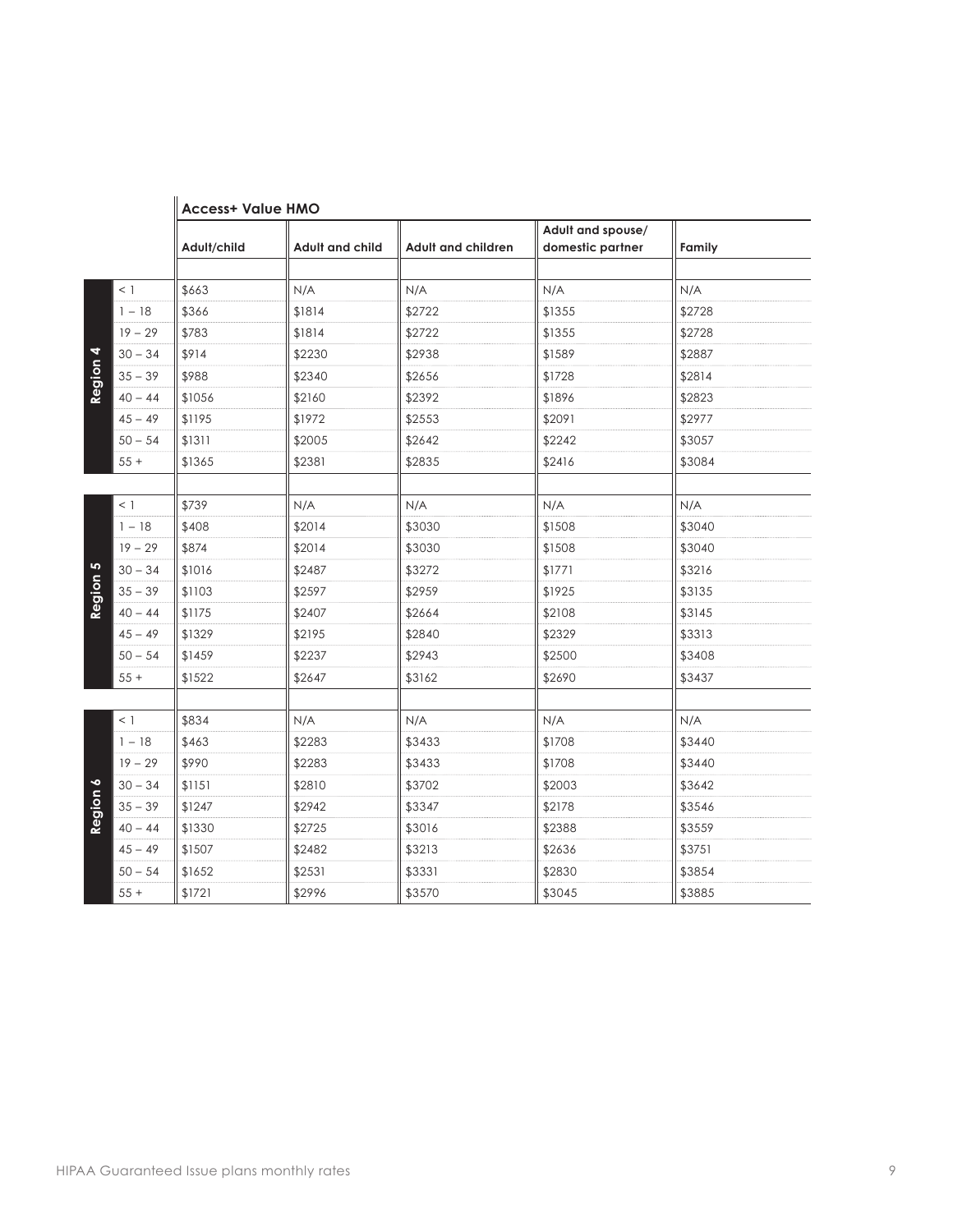|                 |           | <b>Access+ Value HMO</b> |                        |                           |                                       |        |  |  |
|-----------------|-----------|--------------------------|------------------------|---------------------------|---------------------------------------|--------|--|--|
|                 |           | Adult/child              | <b>Adult and child</b> | <b>Adult and children</b> | Adult and spouse/<br>domestic partner | Family |  |  |
|                 | $<$ 1     | \$663                    | N/A                    | N/A                       | N/A                                   | N/A    |  |  |
|                 | $1 - 18$  | \$366                    | \$1814                 | \$2722                    | \$1355                                | \$2728 |  |  |
|                 | $19 - 29$ | \$783                    | \$1814                 | \$2722                    | \$1355                                | \$2728 |  |  |
| 4               | $30 - 34$ | \$914                    | \$2230                 | \$2938                    | \$1589                                | \$2887 |  |  |
| Region          | $35 - 39$ | \$988                    | \$2340                 | \$2656                    | \$1728                                | \$2814 |  |  |
|                 | $40 - 44$ | \$1056                   | \$2160                 | \$2392                    | \$1896                                | \$2823 |  |  |
|                 | $45 - 49$ | \$1195                   | \$1972                 | \$2553                    | \$2091                                | \$2977 |  |  |
|                 | $50 - 54$ | \$1311                   | \$2005                 | \$2642                    | \$2242                                | \$3057 |  |  |
|                 | $55+$     | \$1365                   | \$2381                 | \$2835                    | \$2416                                | \$3084 |  |  |
|                 |           |                          |                        |                           |                                       |        |  |  |
|                 | $<$ 1     | \$739                    | N/A                    | N/A                       | N/A                                   | N/A    |  |  |
|                 | $1 - 18$  | \$408                    | \$2014                 | \$3030                    | \$1508                                | \$3040 |  |  |
|                 | $19 - 29$ | \$874                    | \$2014                 | \$3030                    | \$1508                                | \$3040 |  |  |
| LO <sub>1</sub> | $30 - 34$ | \$1016                   | \$2487                 | \$3272                    | \$1771                                | \$3216 |  |  |
| Region          | $35 - 39$ | \$1103                   | \$2597                 | \$2959                    | \$1925                                | \$3135 |  |  |
|                 | $40 - 44$ | \$1175                   | \$2407                 | \$2664                    | \$2108                                | \$3145 |  |  |
|                 | $45 - 49$ | \$1329                   | \$2195                 | \$2840                    | \$2329                                | \$3313 |  |  |
|                 | $50 - 54$ | \$1459                   | \$2237                 | \$2943                    | \$2500                                | \$3408 |  |  |
|                 | $55+$     | \$1522                   | \$2647                 | \$3162                    | \$2690                                | \$3437 |  |  |
|                 |           |                          |                        |                           |                                       |        |  |  |
|                 | $<$ 1     | \$834                    | N/A                    | N/A                       | N/A                                   | N/A    |  |  |
|                 | $1 - 18$  | \$463                    | \$2283                 | \$3433                    | \$1708                                | \$3440 |  |  |
|                 | $19 - 29$ | \$990                    | \$2283                 | \$3433                    | \$1708                                | \$3440 |  |  |
| $\bullet$       | $30 - 34$ | \$1151                   | \$2810                 | \$3702                    | \$2003                                | \$3642 |  |  |
| Region (        | $35 - 39$ | \$1247                   | \$2942                 | \$3347                    | \$2178                                | \$3546 |  |  |
|                 | $40 - 44$ | \$1330                   | \$2725                 | \$3016                    | \$2388                                | \$3559 |  |  |
|                 | $45 - 49$ | \$1507                   | \$2482                 | \$3213                    | \$2636                                | \$3751 |  |  |
|                 | $50 - 54$ | \$1652                   | \$2531                 | \$3331                    | \$2830                                | \$3854 |  |  |
|                 | $55+$     | \$1721                   | \$2996                 | \$3570                    | \$3045                                | \$3885 |  |  |